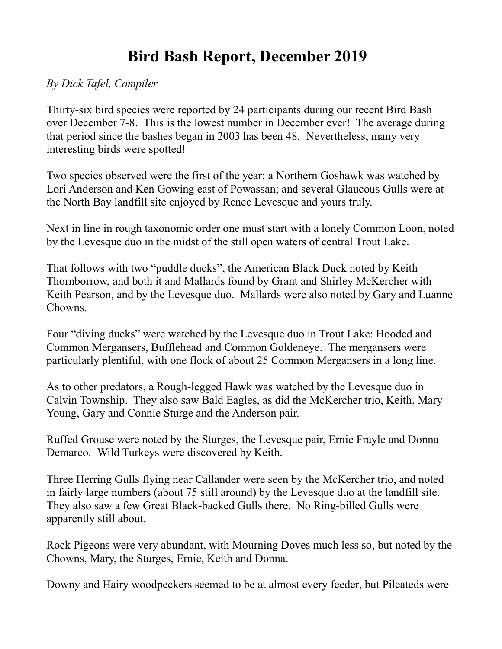## **Bird Bash Report, December 2019**

*By Dick Tafel, Compiler*

Thirty-six bird species were reported by 24 participants during our recent Bird Bash over December 7-8. This is the lowest number in December ever! The average during that period since the bashes began in 2003 has been 48. Nevertheless, many very interesting birds were spotted!

Two species observed were the first of the year: a Northern Goshawk was watched by Lori Anderson and Ken Gowing east of Powassan; and several Glaucous Gulls were at the North Bay landfill site enjoyed by Renee Levesque and yours truly.

Next in line in rough taxonomic order one must start with a lonely Common Loon, noted by the Levesque duo in the midst of the still open waters of central Trout Lake.

That follows with two "puddle ducks", the American Black Duck noted by Keith Thornborrow, and both it and Mallards found by Grant and Shirley McKercher with Keith Pearson, and by the Levesque duo. Mallards were also noted by Gary and Luanne Chowns.

Four "diving ducks" were watched by the Levesque duo in Trout Lake: Hooded and Common Mergansers, Bufflehead and Common Goldeneye. The mergansers were particularly plentiful, with one flock of about 25 Common Mergansers in a long line.

As to other predators, a Rough-legged Hawk was watched by the Levesque duo in Calvin Township. They also saw Bald Eagles, as did the McKercher trio, Keith, Mary Young, Gary and Connie Sturge and the Anderson pair.

Ruffed Grouse were noted by the Sturges, the Levesque pair, Ernie Frayle and Donna Demarco. Wild Turkeys were discovered by Keith.

Three Herring Gulls flying near Callander were seen by the McKercher trio, and noted in fairly large numbers (about 75 still around) by the Levesque duo at the landfill site. They also saw a few Great Black-backed Gulls there. No Ring-billed Gulls were apparently still about.

Rock Pigeons were very abundant, with Mourning Doves much less so, but noted by the Chowns, Mary, the Sturges, Ernie, Keith and Donna.

Downy and Hairy woodpeckers seemed to be at almost every feeder, but Pileateds were